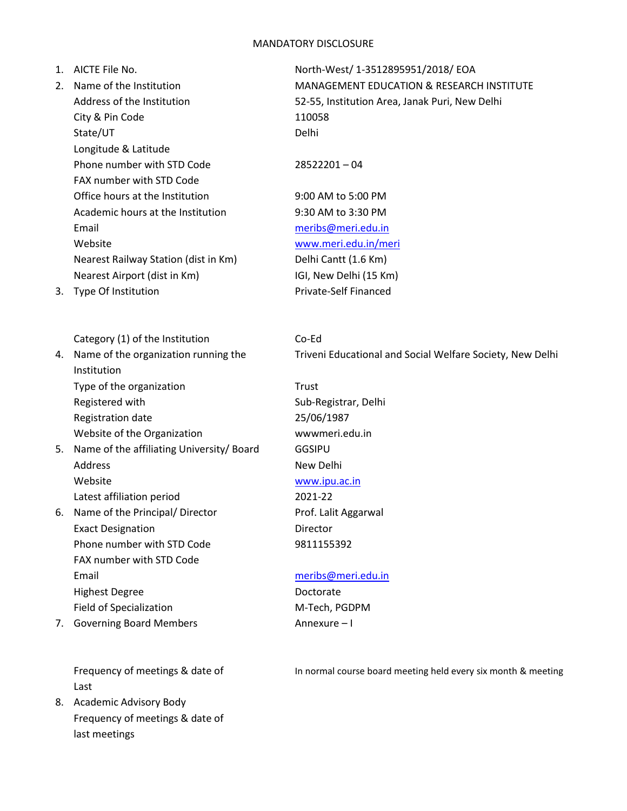## MANDATORY DISCLOSURE

| שטעטערע וטעראשווי |                                           |                                                           |
|-------------------|-------------------------------------------|-----------------------------------------------------------|
|                   | 1. AICTE File No.                         | North-West/ 1-3512895951/2018/ EOA                        |
| 2.                | Name of the Institution                   | <b>MANAGEMENT EDUCATION &amp; RESEARCH INSTITUTE</b>      |
|                   | Address of the Institution                | 52-55, Institution Area, Janak Puri, New Delhi            |
|                   | City & Pin Code                           | 110058                                                    |
|                   | State/UT                                  | Delhi                                                     |
|                   | Longitude & Latitude                      |                                                           |
|                   | Phone number with STD Code                | $28522201 - 04$                                           |
|                   | FAX number with STD Code                  |                                                           |
|                   | Office hours at the Institution           | 9:00 AM to 5:00 PM                                        |
|                   | Academic hours at the Institution         | 9:30 AM to 3:30 PM                                        |
|                   | Email                                     | meribs@meri.edu.in                                        |
|                   | Website                                   | www.meri.edu.in/meri                                      |
|                   | Nearest Railway Station (dist in Km)      | Delhi Cantt (1.6 Km)                                      |
|                   | Nearest Airport (dist in Km)              | IGI, New Delhi (15 Km)                                    |
| 3.                | Type Of Institution                       | Private-Self Financed                                     |
|                   |                                           |                                                           |
|                   |                                           |                                                           |
|                   | Category (1) of the Institution           | Co-Ed                                                     |
| 4.                | Name of the organization running the      | Triveni Educational and Social Welfare Society, New Delhi |
|                   | Institution                               |                                                           |
|                   | Type of the organization                  | Trust                                                     |
|                   | Registered with                           | Sub-Registrar, Delhi                                      |
|                   | Registration date                         | 25/06/1987                                                |
|                   | Website of the Organization               | wwwmeri.edu.in                                            |
| 5.                | Name of the affiliating University/ Board | <b>GGSIPU</b>                                             |
|                   | <b>Address</b>                            | New Delhi                                                 |
|                   | Website                                   | www.ipu.ac.in                                             |
|                   | Latest affiliation period                 | 2021-22                                                   |
| 6.                | Name of the Principal/ Director           | Prof. Lalit Aggarwal                                      |
|                   | <b>Exact Designation</b>                  | Director                                                  |
|                   | Phone number with STD Code                | 9811155392                                                |
|                   | FAX number with STD Code                  |                                                           |
|                   | Email                                     | meribs@meri.edu.in                                        |
|                   | <b>Highest Degree</b>                     | Doctorate                                                 |
|                   | <b>Field of Specialization</b>            | M-Tech, PGDPM                                             |
| 7.                | <b>Governing Board Members</b>            | Annexure-I                                                |
|                   |                                           |                                                           |

Last

8. Academic Advisory Body Frequency of meetings & date of last meetings

Frequency of meetings & date of In normal course board meeting held every six month & meeting